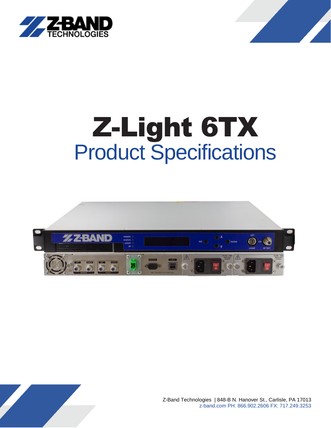



# Z-Light 6TX Product Specifications



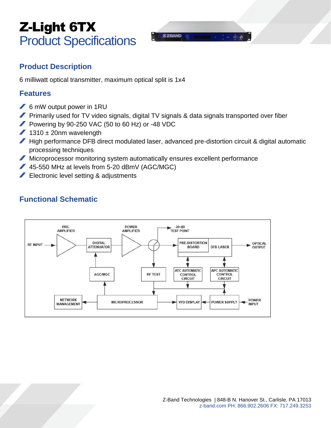## Z-Light 6TX Product Specifications

## **Product Description**

6 milliwatt optical transmitter, maximum optical split is 1x4

#### **Features**

- 6 mW output power in 1RU
- **Primarily used for TV video signals, digital TV signals & data signals transported over fiber**
- Powering by 90-250 VAC (50 to 60 Hz) or -48 VDC
- $1310 \pm 20$ nm wavelength
- High performance DFB direct modulated laser, advanced pre-distortion circuit & digital automatic processing techniques
- Microprocessor monitoring system automatically ensures excellent performance
- 45-550 MHz at levels from 5-20 dBmV (AGC/MGC)
- Electronic level setting & adjustments

## **Functional Schematic**